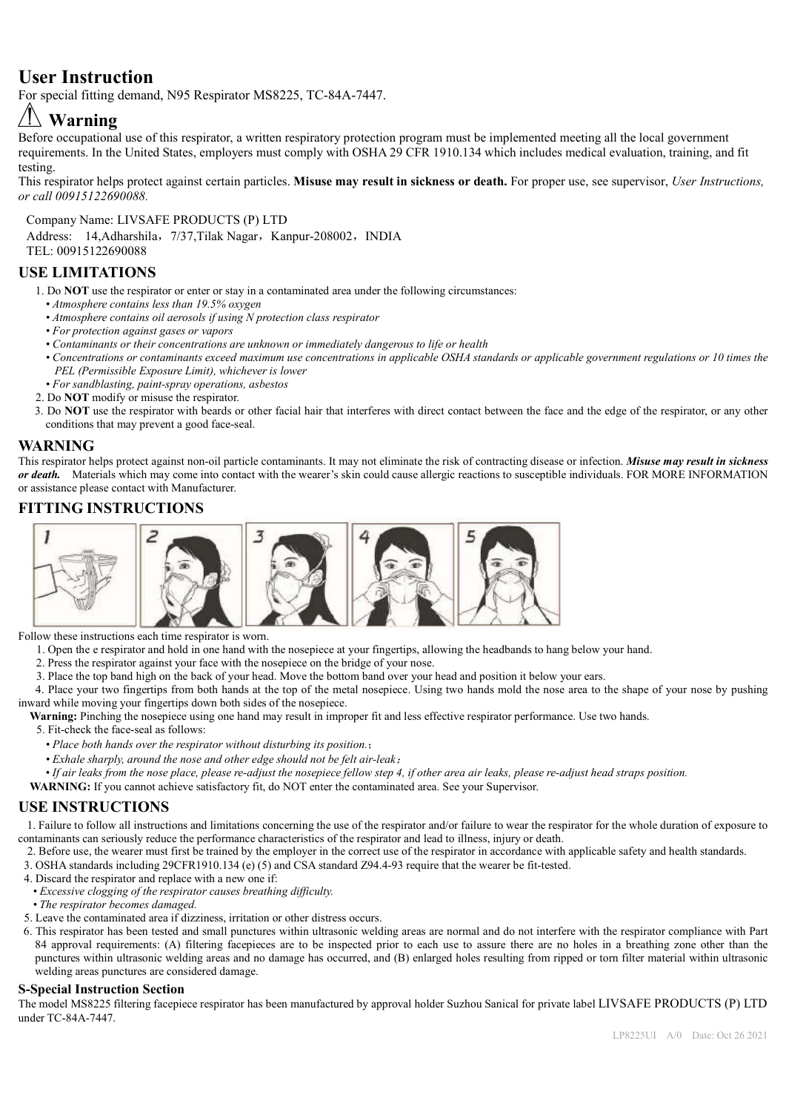## **User Instruction**

For special fitting demand, N95 Respirator MS8225, TC-84A-7447.

# **Warning**

Before occupational use of this respirator, a written respiratory protection program must be implemented meeting all the local government requirements. In the United States, employers must comply with OSHA 29 CFR 1910.134 which includes medical evaluation, training, and fit testing.

This respirator helps protect against certain particles. **Misuse may result in sickness or death.** For proper use, see supervisor, *User Instructions, or call 00915122690088.*

Company Name: LIVSAFE PRODUCTS (P) LTD

Address: 14,Adharshila, 7/37,Tilak Nagar, Kanpur-208002, INDIA TEL: 00915122690088

### **USE LIMITATIONS**

- 1. Do **NOT** use the respirator or enter or stay in a contaminated area under the following circumstances:
- *Atmosphere contains less than 19.5% oxygen*
- *Atmosphere contains oil aerosols if using N protection class respirator*
- *For protection against gases or vapors*
- *Contaminants or their concentrations are unknown or immediately dangerous to life or health*
- *Concentrations or contaminants exceed maximum use concentrations in applicable OSHA standards or applicable government regulations or 10 times the PEL (Permissible Exposure Limit), whichever is lower*
- *For sandblasting, paint-spray operations, asbestos*
- 2. Do **NOT** modify or misuse the respirator.
- 3. Do **NOT** use the respirator with beards or other facial hair that interferes with direct contact between the face and the edge of the respirator, or any other conditions that may prevent a good face-seal.

#### **WARNING**

This respirator helps protect against non-oil particle contaminants. It may not eliminate the risk of contracting disease or infection. *Misuse may result in sickness or death.* Materials which may come into contact with the wearer's skin could cause allergic reactions to susceptible individuals. FOR MORE INFORMATION or assistance please contact with Manufacturer.

### **FITTING INSTRUCTIONS**



Follow these instructions each time respirator is worn.

1. Open the e respirator and hold in one hand with the nosepiece at your fingertips, allowing the headbands to hang below your hand.

- 2. Press the respirator against your face with the nosepiece on the bridge of your nose.
- 3. Place the top band high on the back of your head. Move the bottom band over your head and position it below your ears.

4. Place your two fingertips from both hands at the top of the metal nosepiece. Using two hands mold the nose area to the shape of your nose by pushing inward while moving your fingertips down both sides of the nosepiece.

**Warning:** Pinching the nosepiece using one hand may result in improper fit and less effective respirator performance. Use two hands.

5. Fit-check the face-seal as follows:

- *Place both hands over the respirator without disturbing its position.*;
- *Exhale sharply, around the nose and other edge should not be felt air-leak*;

*• If air leaks from the nose place, please re-adjust the nosepiece fellow step 4, if other area air leaks, please re-adjust head straps position.*

**WARNING:** If you cannot achieve satisfactory fit, do NOT enter the contaminated area. See your Supervisor.

### **USE INSTRUCTIONS**

1. Failure to follow all instructions and limitations concerning the use of the respirator and/or failure to wear the respirator for the whole duration of exposure to contaminants can seriously reduce the performance characteristics of the respirator and lead to illness, injury or death.

- 2. Before use, the wearer must first be trained by the employer in the correct use of the respirator in accordance with applicable safety and health standards.
- 3. OSHA standards including 29CFR1910.134 (e) (5) and CSA standard Z94.4-93 require that the wearer be fit-tested.
- 4. Discard the respirator and replace with a new one if:
- *Excessive clogging of the respirator causes breathing difficulty.*
- *The respirator becomes damaged.*
- 5. Leave the contaminated area if dizziness, irritation or other distress occurs.
- 6. This respirator has been tested and small punctures within ultrasonic welding areas are normal and do not interfere with the respirator compliance with Part 84 approval requirements: (A) filtering facepieces are to be inspected prior to each use to assure there are no holes in a breathing zone other than the punctures within ultrasonic welding areas and no damage has occurred, and (B) enlarged holes resulting from ripped or torn filter material within ultrasonic welding areas punctures are considered damage.

#### **S-Special Instruction Section**

The model MS8225 filtering facepiece respirator has been manufactured by approval holder Suzhou Sanical for private label LIVSAFE PRODUCTS (P) LTD under TC-84A-7447.